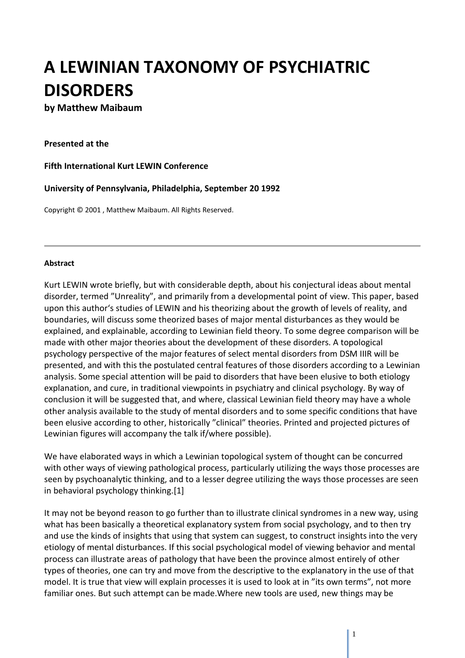# **A LEWINIAN TAXONOMY OF PSYCHIATRIC DISORDERS**

## **by Matthew Maibaum**

#### **Presented at the**

#### **Fifth International Kurt LEWIN Conference**

#### **University of Pennsylvania, Philadelphia, September 20 1992**

Copyright © 2001 , Matthew Maibaum. All Rights Reserved.

#### **Abstract**

Kurt LEWIN wrote briefly, but with considerable depth, about his conjectural ideas about mental disorder, termed "Unreality", and primarily from a developmental point of view. This paper, based upon this author's studies of LEWIN and his theorizing about the growth of levels of reality, and boundaries, will discuss some theorized bases of major mental disturbances as they would be explained, and explainable, according to Lewinian field theory. To some degree comparison will be made with other major theories about the development of these disorders. A topological psychology perspective of the major features of select mental disorders from DSM IIIR will be presented, and with this the postulated central features of those disorders according to a Lewinian analysis. Some special attention will be paid to disorders that have been elusive to both etiology explanation, and cure, in traditional viewpoints in psychiatry and clinical psychology. By way of conclusion it will be suggested that, and where, classical Lewinian field theory may have a whole other analysis available to the study of mental disorders and to some specific conditions that have been elusive according to other, historically "clinical" theories. Printed and projected pictures of Lewinian figures will accompany the talk if/where possible).

We have elaborated ways in which a Lewinian topological system of thought can be concurred with other ways of viewing pathological process, particularly utilizing the ways those processes are seen by psychoanalytic thinking, and to a lesser degree utilizing the ways those processes are seen in behavioral psychology thinking.[1]

It may not be beyond reason to go further than to illustrate clinical syndromes in a new way, using what has been basically a theoretical explanatory system from social psychology, and to then try and use the kinds of insights that using that system can suggest, to construct insights into the very etiology of mental disturbances. If this social psychological model of viewing behavior and mental process can illustrate areas of pathology that have been the province almost entirely of other types of theories, one can try and move from the descriptive to the explanatory in the use of that model. It is true that view will explain processes it is used to look at in "its own terms", not more familiar ones. But such attempt can be made.Where new tools are used, new things may be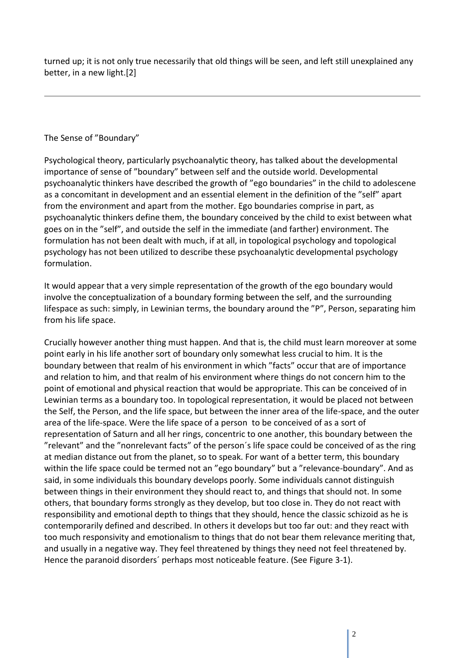turned up; it is not only true necessarily that old things will be seen, and left still unexplained any better, in a new light.[2]

#### The Sense of "Boundary"

Psychological theory, particularly psychoanalytic theory, has talked about the developmental importance of sense of "boundary" between self and the outside world. Developmental psychoanalytic thinkers have described the growth of "ego boundaries" in the child to adolescene as a concomitant in development and an essential element in the definition of the "self" apart from the environment and apart from the mother. Ego boundaries comprise in part, as psychoanalytic thinkers define them, the boundary conceived by the child to exist between what goes on in the "self", and outside the self in the immediate (and farther) environment. The formulation has not been dealt with much, if at all, in topological psychology and topological psychology has not been utilized to describe these psychoanalytic developmental psychology formulation.

It would appear that a very simple representation of the growth of the ego boundary would involve the conceptualization of a boundary forming between the self, and the surrounding lifespace as such: simply, in Lewinian terms, the boundary around the "P", Person, separating him from his life space.

Crucially however another thing must happen. And that is, the child must learn moreover at some point early in his life another sort of boundary only somewhat less crucial to him. It is the boundary between that realm of his environment in which "facts" occur that are of importance and relation to him, and that realm of his environment where things do not concern him to the point of emotional and physical reaction that would be appropriate. This can be conceived of in Lewinian terms as a boundary too. In topological representation, it would be placed not between the Self, the Person, and the life space, but between the inner area of the life-space, and the outer area of the life-space. Were the life space of a person to be conceived of as a sort of representation of Saturn and all her rings, concentric to one another, this boundary between the "relevant" and the "nonrelevant facts" of the person´s life space could be conceived of as the ring at median distance out from the planet, so to speak. For want of a better term, this boundary within the life space could be termed not an "ego boundary" but a "relevance-boundary". And as said, in some individuals this boundary develops poorly. Some individuals cannot distinguish between things in their environment they should react to, and things that should not. In some others, that boundary forms strongly as they develop, but too close in. They do not react with responsibility and emotional depth to things that they should, hence the classic schizoid as he is contemporarily defined and described. In others it develops but too far out: and they react with too much responsivity and emotionalism to things that do not bear them relevance meriting that, and usually in a negative way. They feel threatened by things they need not feel threatened by. Hence the paranoid disorders´ perhaps most noticeable feature. (See Figure 3-1).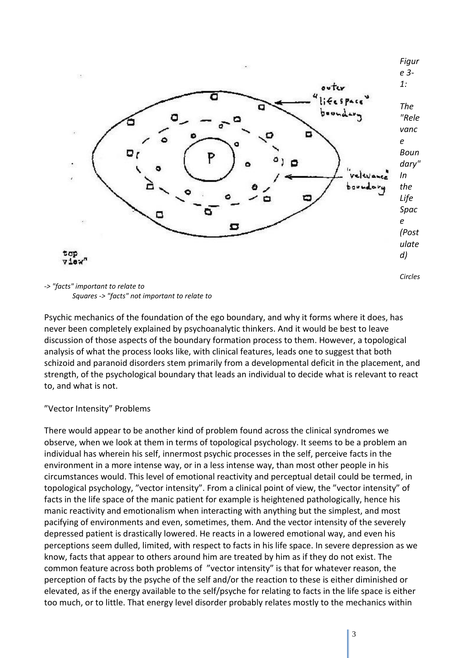

*-> "facts" important to relate to Squares -> "facts" not important to relate to* 

Psychic mechanics of the foundation of the ego boundary, and why it forms where it does, has never been completely explained by psychoanalytic thinkers. And it would be best to leave discussion of those aspects of the boundary formation process to them. However, a topological analysis of what the process looks like, with clinical features, leads one to suggest that both schizoid and paranoid disorders stem primarily from a developmental deficit in the placement, and strength, of the psychological boundary that leads an individual to decide what is relevant to react to, and what is not.

"Vector Intensity" Problems

There would appear to be another kind of problem found across the clinical syndromes we observe, when we look at them in terms of topological psychology. It seems to be a problem an individual has wherein his self, innermost psychic processes in the self, perceive facts in the environment in a more intense way, or in a less intense way, than most other people in his circumstances would. This level of emotional reactivity and perceptual detail could be termed, in topological psychology, "vector intensity". From a clinical point of view, the "vector intensity" of facts in the life space of the manic patient for example is heightened pathologically, hence his manic reactivity and emotionalism when interacting with anything but the simplest, and most pacifying of environments and even, sometimes, them. And the vector intensity of the severely depressed patient is drastically lowered. He reacts in a lowered emotional way, and even his perceptions seem dulled, limited, with respect to facts in his life space. In severe depression as we know, facts that appear to others around him are treated by him as if they do not exist. The common feature across both problems of "vector intensity" is that for whatever reason, the perception of facts by the psyche of the self and/or the reaction to these is either diminished or elevated, as if the energy available to the self/psyche for relating to facts in the life space is either too much, or to little. That energy level disorder probably relates mostly to the mechanics within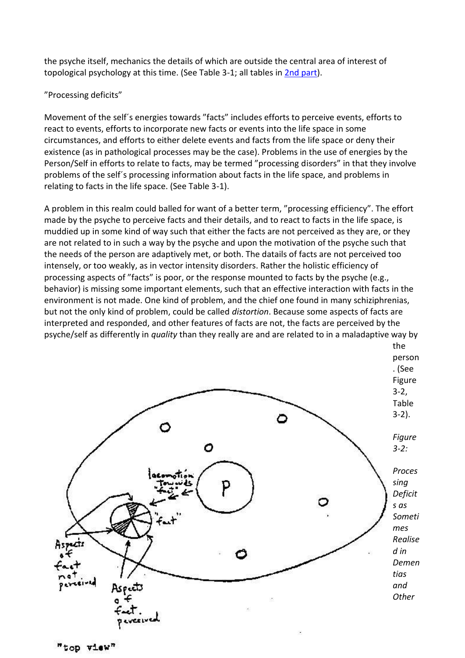the psyche itself, mechanics the details of which are outside the central area of interest of topological psychology at this time. (See Table 3-1; all tables in [2nd part\)](http://gestalttheory.net/archive/maibaum2.html).

### "Processing deficits"

Movement of the self´s energies towards "facts" includes efforts to perceive events, efforts to react to events, efforts to incorporate new facts or events into the life space in some circumstances, and efforts to either delete events and facts from the life space or deny their existence (as in pathological processes may be the case). Problems in the use of energies by the Person/Self in efforts to relate to facts, may be termed "processing disorders" in that they involve problems of the self´s processing information about facts in the life space, and problems in relating to facts in the life space. (See Table 3-1).

A problem in this realm could balled for want of a better term, "processing efficiency". The effort made by the psyche to perceive facts and their details, and to react to facts in the life space, is muddied up in some kind of way such that either the facts are not perceived as they are, or they are not related to in such a way by the psyche and upon the motivation of the psyche such that the needs of the person are adaptively met, or both. The datails of facts are not perceived too intensely, or too weakly, as in vector intensity disorders. Rather the holistic efficiency of processing aspects of "facts" is poor, or the response mounted to facts by the psyche (e.g., behavior) is missing some important elements, such that an effective interaction with facts in the environment is not made. One kind of problem, and the chief one found in many schiziphrenias, but not the only kind of problem, could be called *distortion*. Because some aspects of facts are interpreted and responded, and other features of facts are not, the facts are perceived by the psyche/self as differently in *quality* than they really are and are related to in a maladaptive way by

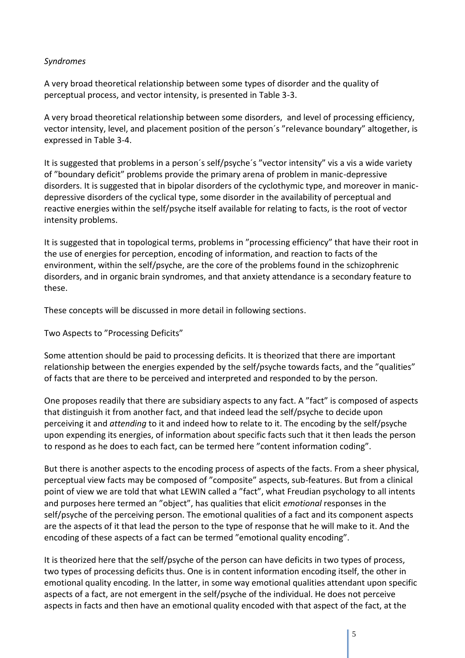#### *Syndromes*

A very broad theoretical relationship between some types of disorder and the quality of perceptual process, and vector intensity, is presented in Table 3-3.

A very broad theoretical relationship between some disorders, and level of processing efficiency, vector intensity, level, and placement position of the person´s "relevance boundary" altogether, is expressed in Table 3-4.

It is suggested that problems in a person´s self/psyche´s "vector intensity" vis a vis a wide variety of "boundary deficit" problems provide the primary arena of problem in manic-depressive disorders. It is suggested that in bipolar disorders of the cyclothymic type, and moreover in manicdepressive disorders of the cyclical type, some disorder in the availability of perceptual and reactive energies within the self/psyche itself available for relating to facts, is the root of vector intensity problems.

It is suggested that in topological terms, problems in "processing efficiency" that have their root in the use of energies for perception, encoding of information, and reaction to facts of the environment, within the self/psyche, are the core of the problems found in the schizophrenic disorders, and in organic brain syndromes, and that anxiety attendance is a secondary feature to these.

These concepts will be discussed in more detail in following sections.

Two Aspects to "Processing Deficits"

Some attention should be paid to processing deficits. It is theorized that there are important relationship between the energies expended by the self/psyche towards facts, and the "qualities" of facts that are there to be perceived and interpreted and responded to by the person.

One proposes readily that there are subsidiary aspects to any fact. A "fact" is composed of aspects that distinguish it from another fact, and that indeed lead the self/psyche to decide upon perceiving it and *attending* to it and indeed how to relate to it. The encoding by the self/psyche upon expending its energies, of information about specific facts such that it then leads the person to respond as he does to each fact, can be termed here "content information coding".

But there is another aspects to the encoding process of aspects of the facts. From a sheer physical, perceptual view facts may be composed of "composite" aspects, sub-features. But from a clinical point of view we are told that what LEWIN called a "fact", what Freudian psychology to all intents and purposes here termed an "object", has qualities that elicit *emotional* responses in the self/psyche of the perceiving person. The emotional qualities of a fact and its component aspects are the aspects of it that lead the person to the type of response that he will make to it. And the encoding of these aspects of a fact can be termed "emotional quality encoding".

It is theorized here that the self/psyche of the person can have deficits in two types of process, two types of processing deficits thus. One is in content information encoding itself, the other in emotional quality encoding. In the latter, in some way emotional qualities attendant upon specific aspects of a fact, are not emergent in the self/psyche of the individual. He does not perceive aspects in facts and then have an emotional quality encoded with that aspect of the fact, at the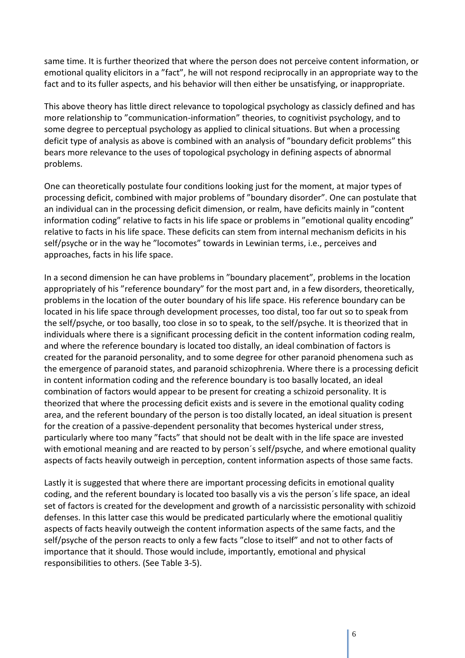same time. It is further theorized that where the person does not perceive content information, or emotional quality elicitors in a "fact", he will not respond reciprocally in an appropriate way to the fact and to its fuller aspects, and his behavior will then either be unsatisfying, or inappropriate.

This above theory has little direct relevance to topological psychology as classicly defined and has more relationship to "communication-information" theories, to cognitivist psychology, and to some degree to perceptual psychology as applied to clinical situations. But when a processing deficit type of analysis as above is combined with an analysis of "boundary deficit problems" this bears more relevance to the uses of topological psychology in defining aspects of abnormal problems.

One can theoretically postulate four conditions looking just for the moment, at major types of processing deficit, combined with major problems of "boundary disorder". One can postulate that an individual can in the processing deficit dimension, or realm, have deficits mainly in "content information coding" relative to facts in his life space or problems in "emotional quality encoding" relative to facts in his life space. These deficits can stem from internal mechanism deficits in his self/psyche or in the way he "locomotes" towards in Lewinian terms, i.e., perceives and approaches, facts in his life space.

In a second dimension he can have problems in "boundary placement", problems in the location appropriately of his "reference boundary" for the most part and, in a few disorders, theoretically, problems in the location of the outer boundary of his life space. His reference boundary can be located in his life space through development processes, too distal, too far out so to speak from the self/psyche, or too basally, too close in so to speak, to the self/psyche. It is theorized that in individuals where there is a significant processing deficit in the content information coding realm, and where the reference boundary is located too distally, an ideal combination of factors is created for the paranoid personality, and to some degree for other paranoid phenomena such as the emergence of paranoid states, and paranoid schizophrenia. Where there is a processing deficit in content information coding and the reference boundary is too basally located, an ideal combination of factors would appear to be present for creating a schizoid personality. It is theorized that where the processing deficit exists and is severe in the emotional quality coding area, and the referent boundary of the person is too distally located, an ideal situation is present for the creation of a passive-dependent personality that becomes hysterical under stress, particularly where too many "facts" that should not be dealt with in the life space are invested with emotional meaning and are reacted to by person's self/psyche, and where emotional quality aspects of facts heavily outweigh in perception, content information aspects of those same facts.

Lastly it is suggested that where there are important processing deficits in emotional quality coding, and the referent boundary is located too basally vis a vis the person´s life space, an ideal set of factors is created for the development and growth of a narcissistic personality with schizoid defenses. In this latter case this would be predicated particularly where the emotional qualitiy aspects of facts heavily outweigh the content information aspects of the same facts, and the self/psyche of the person reacts to only a few facts "close to itself" and not to other facts of importance that it should. Those would include, importantly, emotional and physical responsibilities to others. (See Table 3-5).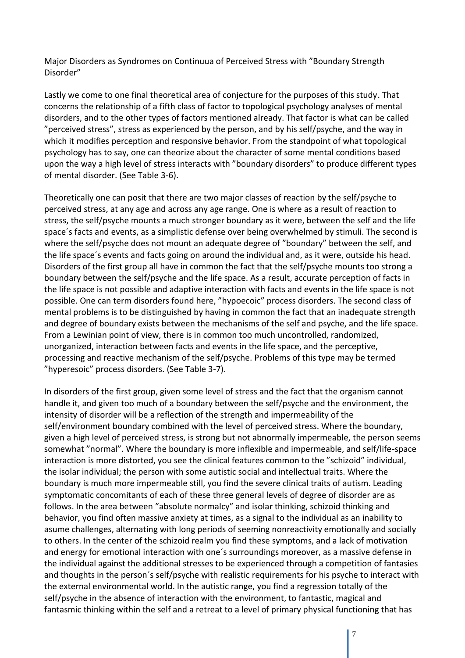Major Disorders as Syndromes on Continuua of Perceived Stress with "Boundary Strength Disorder"

Lastly we come to one final theoretical area of conjecture for the purposes of this study. That concerns the relationship of a fifth class of factor to topological psychology analyses of mental disorders, and to the other types of factors mentioned already. That factor is what can be called "perceived stress", stress as experienced by the person, and by his self/psyche, and the way in which it modifies perception and responsive behavior. From the standpoint of what topological psychology has to say, one can theorize about the character of some mental conditions based upon the way a high level of stress interacts with "boundary disorders" to produce different types of mental disorder. (See Table 3-6).

Theoretically one can posit that there are two major classes of reaction by the self/psyche to perceived stress, at any age and across any age range. One is where as a result of reaction to stress, the self/psyche mounts a much stronger boundary as it were, between the self and the life space´s facts and events, as a simplistic defense over being overwhelmed by stimuli. The second is where the self/psyche does not mount an adequate degree of "boundary" between the self, and the life space´s events and facts going on around the individual and, as it were, outside his head. Disorders of the first group all have in common the fact that the self/psyche mounts too strong a boundary between the self/psyche and the life space. As a result, accurate perception of facts in the life space is not possible and adaptive interaction with facts and events in the life space is not possible. One can term disorders found here, "hypoecoic" process disorders. The second class of mental problems is to be distinguished by having in common the fact that an inadequate strength and degree of boundary exists between the mechanisms of the self and psyche, and the life space. From a Lewinian point of view, there is in common too much uncontrolled, randomized, unorganized, interaction between facts and events in the life space, and the perceptive, processing and reactive mechanism of the self/psyche. Problems of this type may be termed "hyperesoic" process disorders. (See Table 3-7).

In disorders of the first group, given some level of stress and the fact that the organism cannot handle it, and given too much of a boundary between the self/psyche and the environment, the intensity of disorder will be a reflection of the strength and impermeability of the self/environment boundary combined with the level of perceived stress. Where the boundary, given a high level of perceived stress, is strong but not abnormally impermeable, the person seems somewhat "normal". Where the boundary is more inflexible and impermeable, and self/life-space interaction is more distorted, you see the clinical features common to the "schizoid" individual, the isolar individual; the person with some autistic social and intellectual traits. Where the boundary is much more impermeable still, you find the severe clinical traits of autism. Leading symptomatic concomitants of each of these three general levels of degree of disorder are as follows. In the area between "absolute normalcy" and isolar thinking, schizoid thinking and behavior, you find often massive anxiety at times, as a signal to the individual as an inability to asume challenges, alternating with long periods of seeming nonreactivity emotionally and socially to others. In the center of the schizoid realm you find these symptoms, and a lack of motivation and energy for emotional interaction with one´s surroundings moreover, as a massive defense in the individual against the additional stresses to be experienced through a competition of fantasies and thoughts in the person´s self/psyche with realistic requirements for his psyche to interact with the external environmental world. In the autistic range, you find a regression totally of the self/psyche in the absence of interaction with the environment, to fantastic, magical and fantasmic thinking within the self and a retreat to a level of primary physical functioning that has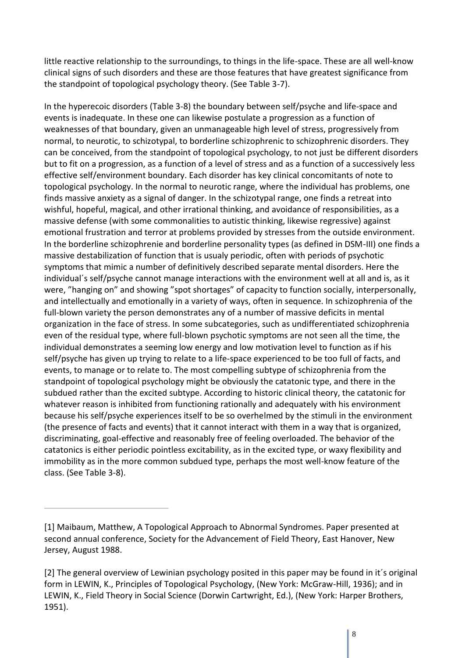little reactive relationship to the surroundings, to things in the life-space. These are all well-know clinical signs of such disorders and these are those features that have greatest significance from the standpoint of topological psychology theory. (See Table 3-7).

In the hyperecoic disorders (Table 3-8) the boundary between self/psyche and life-space and events is inadequate. In these one can likewise postulate a progression as a function of weaknesses of that boundary, given an unmanageable high level of stress, progressively from normal, to neurotic, to schizotypal, to borderline schizophrenic to schizophrenic disorders. They can be conceived, from the standpoint of topological psychology, to not just be different disorders but to fit on a progression, as a function of a level of stress and as a function of a successively less effective self/environment boundary. Each disorder has key clinical concomitants of note to topological psychology. In the normal to neurotic range, where the individual has problems, one finds massive anxiety as a signal of danger. In the schizotypal range, one finds a retreat into wishful, hopeful, magical, and other irrational thinking, and avoidance of responsibilities, as a massive defense (with some commonalities to autistic thinking, likewise regressive) against emotional frustration and terror at problems provided by stresses from the outside environment. In the borderline schizophrenie and borderline personality types (as defined in DSM-III) one finds a massive destabilization of function that is usualy periodic, often with periods of psychotic symptoms that mimic a number of definitively described separate mental disorders. Here the individual´s self/psyche cannot manage interactions with the environment well at all and is, as it were, "hanging on" and showing "spot shortages" of capacity to function socially, interpersonally, and intellectually and emotionally in a variety of ways, often in sequence. In schizophrenia of the full-blown variety the person demonstrates any of a number of massive deficits in mental organization in the face of stress. In some subcategories, such as undifferentiated schizophrenia even of the residual type, where full-blown psychotic symptoms are not seen all the time, the individual demonstrates a seeming low energy and low motivation level to function as if his self/psyche has given up trying to relate to a life-space experienced to be too full of facts, and events, to manage or to relate to. The most compelling subtype of schizophrenia from the standpoint of topological psychology might be obviously the catatonic type, and there in the subdued rather than the excited subtype. According to historic clinical theory, the catatonic for whatever reason is inhibited from functioning rationally and adequately with his environment because his self/psyche experiences itself to be so overhelmed by the stimuli in the environment (the presence of facts and events) that it cannot interact with them in a way that is organized, discriminating, goal-effective and reasonably free of feeling overloaded. The behavior of the catatonics is either periodic pointless excitability, as in the excited type, or waxy flexibility and immobility as in the more common subdued type, perhaps the most well-know feature of the class. (See Table 3-8).

<sup>[1]</sup> Maibaum, Matthew, A Topological Approach to Abnormal Syndromes. Paper presented at second annual conference, Society for the Advancement of Field Theory, East Hanover, New Jersey, August 1988.

<sup>[2]</sup> The general overview of Lewinian psychology posited in this paper may be found in it´s original form in LEWIN, K., Principles of Topological Psychology, (New York: McGraw-Hill, 1936); and in LEWIN, K., Field Theory in Social Science (Dorwin Cartwright, Ed.), (New York: Harper Brothers, 1951).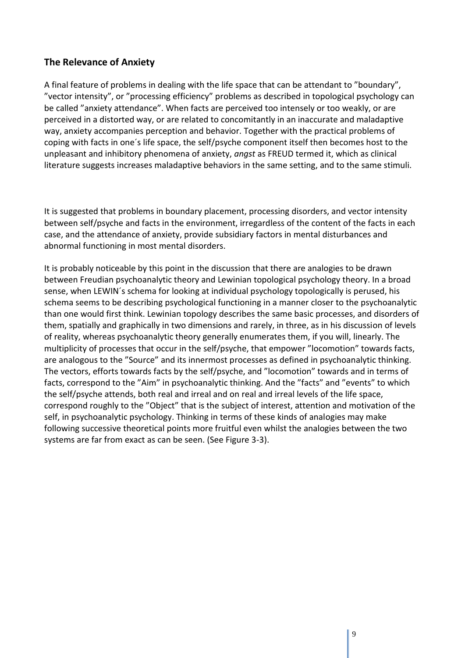# **The Relevance of Anxiety**

A final feature of problems in dealing with the life space that can be attendant to "boundary", "vector intensity", or "processing efficiency" problems as described in topological psychology can be called "anxiety attendance". When facts are perceived too intensely or too weakly, or are perceived in a distorted way, or are related to concomitantly in an inaccurate and maladaptive way, anxiety accompanies perception and behavior. Together with the practical problems of coping with facts in one´s life space, the self/psyche component itself then becomes host to the unpleasant and inhibitory phenomena of anxiety, *angst* as FREUD termed it, which as clinical literature suggests increases maladaptive behaviors in the same setting, and to the same stimuli.

It is suggested that problems in boundary placement, processing disorders, and vector intensity between self/psyche and facts in the environment, irregardless of the content of the facts in each case, and the attendance of anxiety, provide subsidiary factors in mental disturbances and abnormal functioning in most mental disorders.

It is probably noticeable by this point in the discussion that there are analogies to be drawn between Freudian psychoanalytic theory and Lewinian topological psychology theory. In a broad sense, when LEWIN´s schema for looking at individual psychology topologically is perused, his schema seems to be describing psychological functioning in a manner closer to the psychoanalytic than one would first think. Lewinian topology describes the same basic processes, and disorders of them, spatially and graphically in two dimensions and rarely, in three, as in his discussion of levels of reality, whereas psychoanalytic theory generally enumerates them, if you will, linearly. The multiplicity of processes that occur in the self/psyche, that empower "locomotion" towards facts, are analogous to the "Source" and its innermost processes as defined in psychoanalytic thinking. The vectors, efforts towards facts by the self/psyche, and "locomotion" towards and in terms of facts, correspond to the "Aim" in psychoanalytic thinking. And the "facts" and "events" to which the self/psyche attends, both real and irreal and on real and irreal levels of the life space, correspond roughly to the "Object" that is the subject of interest, attention and motivation of the self, in psychoanalytic psychology. Thinking in terms of these kinds of analogies may make following successive theoretical points more fruitful even whilst the analogies between the two systems are far from exact as can be seen. (See Figure 3-3).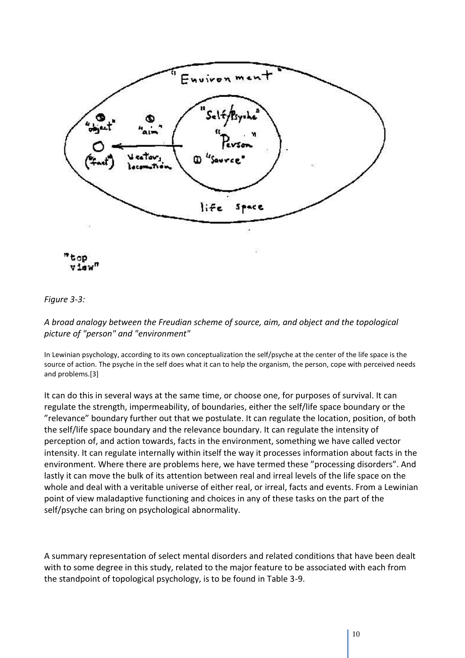

#### *Figure 3-3:*

#### *A broad analogy between the Freudian scheme of source, aim, and object and the topological picture of "person" and "environment"*

In Lewinian psychology, according to its own conceptualization the self/psyche at the center of the life space is the source of action. The psyche in the self does what it can to help the organism, the person, cope with perceived needs and problems.[3]

It can do this in several ways at the same time, or choose one, for purposes of survival. It can regulate the strength, impermeability, of boundaries, either the self/life space boundary or the "relevance" boundary further out that we postulate. It can regulate the location, position, of both the self/life space boundary and the relevance boundary. It can regulate the intensity of perception of, and action towards, facts in the environment, something we have called vector intensity. It can regulate internally within itself the way it processes information about facts in the environment. Where there are problems here, we have termed these "processing disorders". And lastly it can move the bulk of its attention between real and irreal levels of the life space on the whole and deal with a veritable universe of either real, or irreal, facts and events. From a Lewinian point of view maladaptive functioning and choices in any of these tasks on the part of the self/psyche can bring on psychological abnormality.

A summary representation of select mental disorders and related conditions that have been dealt with to some degree in this study, related to the major feature to be associated with each from the standpoint of topological psychology, is to be found in Table 3-9.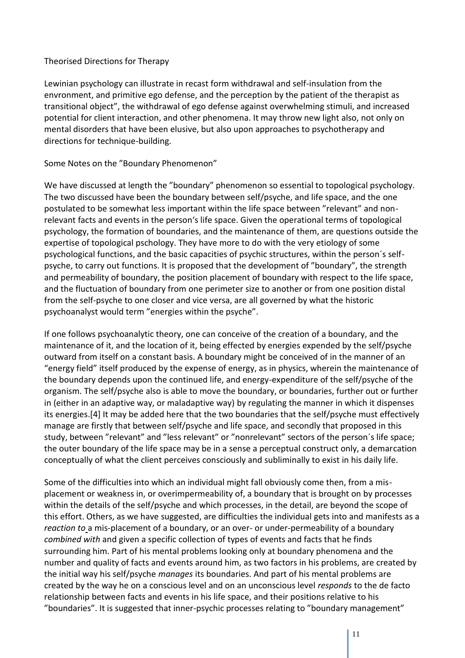#### Theorised Directions for Therapy

Lewinian psychology can illustrate in recast form withdrawal and self-insulation from the envronment, and primitive ego defense, and the perception by the patient of the therapist as transitional object", the withdrawal of ego defense against overwhelming stimuli, and increased potential for client interaction, and other phenomena. It may throw new light also, not only on mental disorders that have been elusive, but also upon approaches to psychotherapy and directions for technique-building.

#### Some Notes on the "Boundary Phenomenon"

We have discussed at length the "boundary" phenomenon so essential to topological psychology. The two discussed have been the boundary between self/psyche, and life space, and the one postulated to be somewhat less important within the life space between "relevant" and nonrelevant facts and events in the person's life space. Given the operational terms of topological psychology, the formation of boundaries, and the maintenance of them, are questions outside the expertise of topological pschology. They have more to do with the very etiology of some psychological functions, and the basic capacities of psychic structures, within the person´s selfpsyche, to carry out functions. It is proposed that the development of "boundary", the strength and permeability of boundary, the position placement of boundary with respect to the life space, and the fluctuation of boundary from one perimeter size to another or from one position distal from the self-psyche to one closer and vice versa, are all governed by what the historic psychoanalyst would term "energies within the psyche".

If one follows psychoanalytic theory, one can conceive of the creation of a boundary, and the maintenance of it, and the location of it, being effected by energies expended by the self/psyche outward from itself on a constant basis. A boundary might be conceived of in the manner of an "energy field" itself produced by the expense of energy, as in physics, wherein the maintenance of the boundary depends upon the continued life, and energy-expenditure of the self/psyche of the organism. The self/psyche also is able to move the boundary, or boundaries, further out or further in (either in an adaptive way, or maladaptive way) by regulating the manner in which it dispenses its energies.[4] It may be added here that the two boundaries that the self/psyche must effectively manage are firstly that between self/psyche and life space, and secondly that proposed in this study, between "relevant" and "less relevant" or "nonrelevant" sectors of the person´s life space; the outer boundary of the life space may be in a sense a perceptual construct only, a demarcation conceptually of what the client perceives consciously and subliminally to exist in his daily life.

Some of the difficulties into which an individual might fall obviously come then, from a misplacement or weakness in, or overimpermeability of, a boundary that is brought on by processes within the details of the self/psyche and which processes, in the detail, are beyond the scope of this effort. Others, as we have suggested, are difficulties the individual gets into and manifests as a *reaction to* a mis-placement of a boundary, or an over- or under-permeability of a boundary *combined with* and given a specific collection of types of events and facts that he finds surrounding him. Part of his mental problems looking only at boundary phenomena and the number and quality of facts and events around him, as two factors in his problems, are created by the initial way his self/psyche *manages* its boundaries. And part of his mental problems are created by the way he on a conscious level and on an unconscious level *responds* to the de facto relationship between facts and events in his life space, and their positions relative to his "boundaries". It is suggested that inner-psychic processes relating to "boundary management"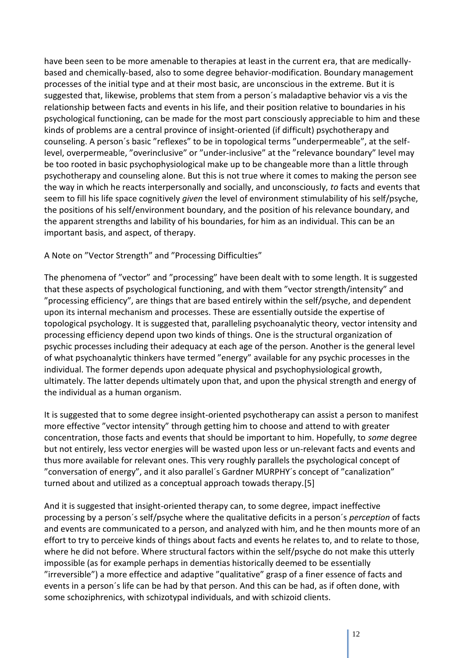have been seen to be more amenable to therapies at least in the current era, that are medicallybased and chemically-based, also to some degree behavior-modification. Boundary management processes of the initial type and at their most basic, are unconscious in the extreme. But it is suggested that, likewise, problems that stem from a person´s maladaptive behavior vis a vis the relationship between facts and events in his life, and their position relative to boundaries in his psychological functioning, can be made for the most part consciously appreciable to him and these kinds of problems are a central province of insight-oriented (if difficult) psychotherapy and counseling. A person´s basic "reflexes" to be in topological terms "underpermeable", at the selflevel, overpermeable, "overinclusive" or "under-inclusive" at the "relevance boundary" level may be too rooted in basic psychophysiological make up to be changeable more than a little through psychotherapy and counseling alone. But this is not true where it comes to making the person see the way in which he reacts interpersonally and socially, and unconsciously, *to* facts and events that seem to fill his life space cognitively *given* the level of environment stimulability of his self/psyche, the positions of his self/environment boundary, and the position of his relevance boundary, and the apparent strengths and lability of his boundaries, for him as an individual. This can be an important basis, and aspect, of therapy.

A Note on "Vector Strength" and "Processing Difficulties"

The phenomena of "vector" and "processing" have been dealt with to some length. It is suggested that these aspects of psychological functioning, and with them "vector strength/intensity" and "processing efficiency", are things that are based entirely within the self/psyche, and dependent upon its internal mechanism and processes. These are essentially outside the expertise of topological psychology. It is suggested that, paralleling psychoanalytic theory, vector intensity and processing efficiency depend upon two kinds of things. One is the structural organization of psychic processes including their adequacy at each age of the person. Another is the general level of what psychoanalytic thinkers have termed "energy" available for any psychic processes in the individual. The former depends upon adequate physical and psychophysiological growth, ultimately. The latter depends ultimately upon that, and upon the physical strength and energy of the individual as a human organism.

It is suggested that to some degree insight-oriented psychotherapy can assist a person to manifest more effective "vector intensity" through getting him to choose and attend to with greater concentration, those facts and events that should be important to him. Hopefully, to *some* degree but not entirely, less vector energies will be wasted upon less or un-relevant facts and events and thus more available for relevant ones. This very roughly parallels the psychological concept of "conversation of energy", and it also parallel´s Gardner MURPHY´s concept of "canalization" turned about and utilized as a conceptual approach towads therapy.[5]

And it is suggested that insight-oriented therapy can, to some degree, impact ineffective processing by a person´s self/psyche where the qualitative deficits in a person´s *perception* of facts and events are communicated to a person, and analyzed with him, and he then mounts more of an effort to try to perceive kinds of things about facts and events he relates to, and to relate to those, where he did not before. Where structural factors within the self/psyche do not make this utterly impossible (as for example perhaps in dementias historically deemed to be essentially "irreversible") a more effectice and adaptive "qualitative" grasp of a finer essence of facts and events in a person´s life can be had by that person. And this can be had, as if often done, with some schoziphrenics, with schizotypal individuals, and with schizoid clients.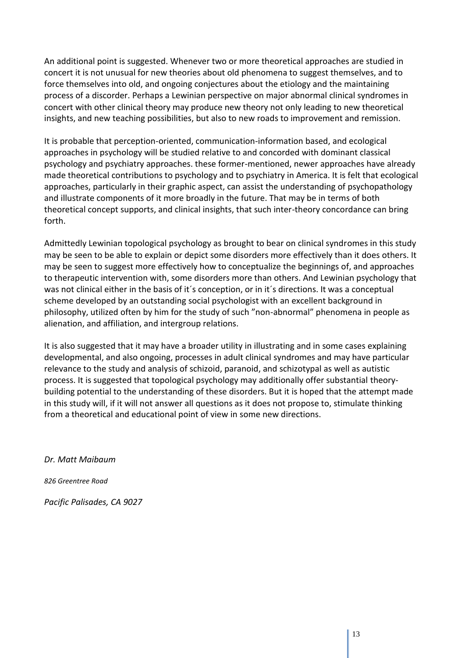An additional point is suggested. Whenever two or more theoretical approaches are studied in concert it is not unusual for new theories about old phenomena to suggest themselves, and to force themselves into old, and ongoing conjectures about the etiology and the maintaining process of a discorder. Perhaps a Lewinian perspective on major abnormal clinical syndromes in concert with other clinical theory may produce new theory not only leading to new theoretical insights, and new teaching possibilities, but also to new roads to improvement and remission.

It is probable that perception-oriented, communication-information based, and ecological approaches in psychology will be studied relative to and concorded with dominant classical psychology and psychiatry approaches. these former-mentioned, newer approaches have already made theoretical contributions to psychology and to psychiatry in America. It is felt that ecological approaches, particularly in their graphic aspect, can assist the understanding of psychopathology and illustrate components of it more broadly in the future. That may be in terms of both theoretical concept supports, and clinical insights, that such inter-theory concordance can bring forth.

Admittedly Lewinian topological psychology as brought to bear on clinical syndromes in this study may be seen to be able to explain or depict some disorders more effectively than it does others. It may be seen to suggest more effectively how to conceptualize the beginnings of, and approaches to therapeutic intervention with, some disorders more than others. And Lewinian psychology that was not clinical either in the basis of it´s conception, or in it´s directions. It was a conceptual scheme developed by an outstanding social psychologist with an excellent background in philosophy, utilized often by him for the study of such "non-abnormal" phenomena in people as alienation, and affiliation, and intergroup relations.

It is also suggested that it may have a broader utility in illustrating and in some cases explaining developmental, and also ongoing, processes in adult clinical syndromes and may have particular relevance to the study and analysis of schizoid, paranoid, and schizotypal as well as autistic process. It is suggested that topological psychology may additionally offer substantial theorybuilding potential to the understanding of these disorders. But it is hoped that the attempt made in this study will, if it will not answer all questions as it does not propose to, stimulate thinking from a theoretical and educational point of view in some new directions.

*Dr. Matt Maibaum*

*826 Greentree Road*

*Pacific Palisades, CA 9027*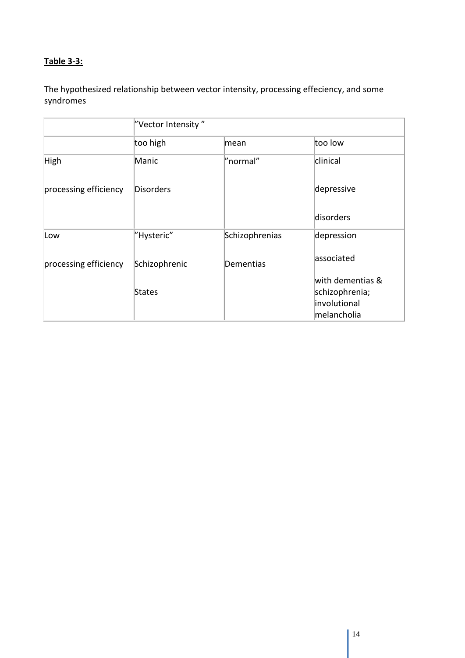# **Table 3-3:**

The hypothesized relationship between vector intensity, processing effeciency, and some syndromes

|                       | "Vector Intensity" |                |                  |
|-----------------------|--------------------|----------------|------------------|
|                       | too high           | mean           | too low          |
| High                  | Manic              | "normal"       | clinical         |
| processing efficiency | <b>Disorders</b>   |                | depressive       |
|                       |                    |                | disorders        |
| Low                   | "Hysteric"         | Schizophrenias | depression       |
| processing efficiency | Schizophrenic      | Dementias      | associated       |
|                       |                    |                | with dementias & |
|                       | <b>States</b>      |                | schizophrenia;   |
|                       |                    |                | involutional     |
|                       |                    |                | melancholia      |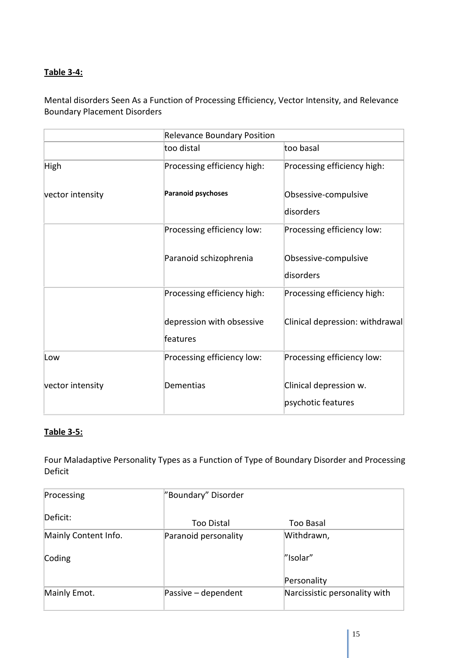# **Table 3-4:**

Mental disorders Seen As a Function of Processing Efficiency, Vector Intensity, and Relevance Boundary Placement Disorders

|                  |                             | <b>Relevance Boundary Position</b> |  |  |
|------------------|-----------------------------|------------------------------------|--|--|
|                  | too distal                  | too basal                          |  |  |
| High             | Processing efficiency high: | Processing efficiency high:        |  |  |
| vector intensity | <b>Paranoid psychoses</b>   | Obsessive-compulsive               |  |  |
|                  |                             | disorders                          |  |  |
|                  | Processing efficiency low:  | Processing efficiency low:         |  |  |
|                  | Paranoid schizophrenia      | Obsessive-compulsive               |  |  |
|                  |                             | disorders                          |  |  |
|                  | Processing efficiency high: | Processing efficiency high:        |  |  |
|                  | depression with obsessive   | Clinical depression: withdrawal    |  |  |
|                  | features                    |                                    |  |  |
| Low              | Processing efficiency low:  | Processing efficiency low:         |  |  |
| vector intensity | Dementias                   | Clinical depression w.             |  |  |
|                  |                             | psychotic features                 |  |  |

#### **Table 3-5:**

Four Maladaptive Personality Types as a Function of Type of Boundary Disorder and Processing Deficit

| Processing           | "Boundary" Disorder  |                               |
|----------------------|----------------------|-------------------------------|
| Deficit:             | Too Distal           | Too Basal                     |
| Mainly Content Info. | Paranoid personality | Withdrawn,                    |
| Coding               |                      | "Isolar"                      |
|                      |                      | Personality                   |
| Mainly Emot.         | Passive - dependent  | Narcissistic personality with |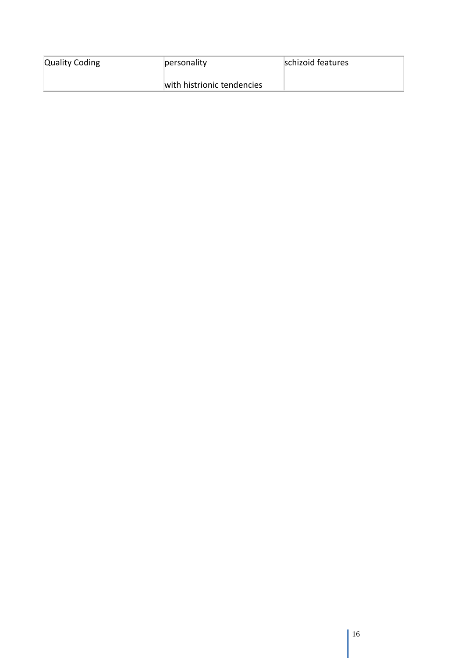| <b>Quality Coding</b> | personality                | schizoid features |
|-----------------------|----------------------------|-------------------|
|                       | with histrionic tendencies |                   |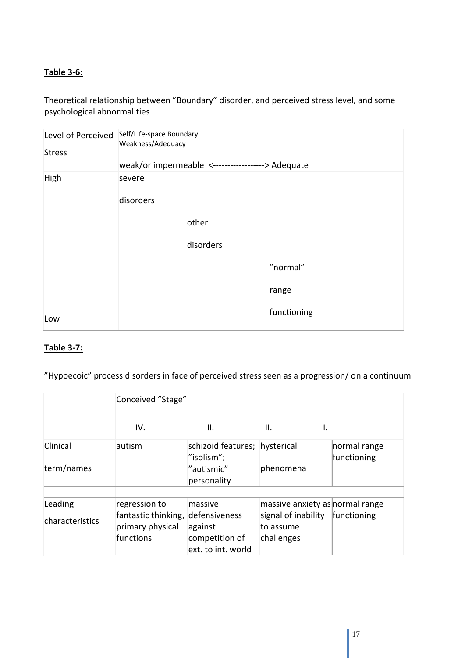# **Table 3-6:**

Theoretical relationship between "Boundary" disorder, and perceived stress level, and some psychological abnormalities

| Level of Perceived | Self/Life-space Boundary<br>Weakness/Adequacy     |
|--------------------|---------------------------------------------------|
| <b>Stress</b>      |                                                   |
|                    | weak/or impermeable <------------------> Adequate |
| High               | severe                                            |
|                    | disorders                                         |
|                    | other                                             |
|                    | disorders                                         |
|                    | "normal"                                          |
|                    | range                                             |
| Low                | functioning                                       |

# **Table 3-7:**

"Hypoecoic" process disorders in face of perceived stress seen as a progression/ on a continuum

|                 | Conceived "Stage"   |                    |                                 |              |
|-----------------|---------------------|--------------------|---------------------------------|--------------|
|                 | IV.                 | III.               | II.<br>Ι.                       |              |
| Clinical        | autism              | schizoid features; | hysterical                      | normal range |
|                 |                     | "isolism";         |                                 | functioning  |
| term/names      |                     | "autismic"         | phenomena                       |              |
|                 |                     | personality        |                                 |              |
|                 |                     |                    |                                 |              |
| Leading         | regression to       | massive            | massive anxiety as normal range |              |
| characteristics | fantastic thinking, | defensiveness      | signal of inability             | functioning  |
|                 | primary physical    | against            | to assume                       |              |
|                 | <b>functions</b>    | competition of     | challenges                      |              |
|                 |                     | ext. to int. world |                                 |              |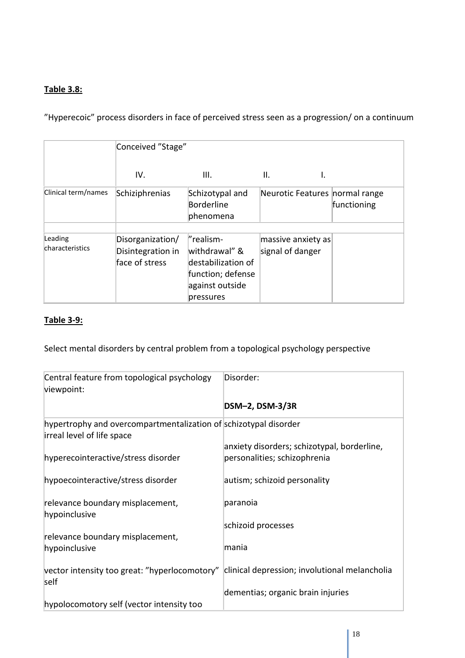## **Table 3.8:**

"Hyperecoic" process disorders in face of perceived stress seen as a progression/ on a continuum

|                            | Conceived "Stage"                                       |                                                                                                       |                                            |             |
|----------------------------|---------------------------------------------------------|-------------------------------------------------------------------------------------------------------|--------------------------------------------|-------------|
|                            | IV.                                                     | III.                                                                                                  | II.                                        |             |
| Clinical term/names        | Schiziphrenias                                          | Schizotypal and<br>Borderline<br>phenomena                                                            | Neurotic Features normal range             | functioning |
| Leading<br>characteristics | Disorganization/<br>Disintegration in<br>face of stress | "realism-<br>withdrawal" &<br>destabilization of<br>function; defense<br>against outside<br>pressures | $ m$ assive anxiety as<br>signal of danger |             |

# **Table 3-9:**

Select mental disorders by central problem from a topological psychology perspective

| Central feature from topological psychology<br>viewpoint:                                      | Disorder:                                                                   |
|------------------------------------------------------------------------------------------------|-----------------------------------------------------------------------------|
|                                                                                                | DSM-2, DSM-3/3R                                                             |
| hypertrophy and overcompartmentalization of schizotypal disorder<br>irreal level of life space |                                                                             |
| hyperecointeractive/stress disorder                                                            | anxiety disorders; schizotypal, borderline,<br>personalities; schizophrenia |
| hypoecointeractive/stress disorder                                                             | autism; schizoid personality                                                |
| relevance boundary misplacement,<br>hypoinclusive                                              | paranoia                                                                    |
|                                                                                                | schizoid processes                                                          |
| relevance boundary misplacement,<br>hypoinclusive                                              | mania                                                                       |
| vector intensity too great: "hyperlocomotory"<br>self                                          | clinical depression; involutional melancholia                               |
|                                                                                                | dementias; organic brain injuries                                           |
| hypolocomotory self (vector intensity too                                                      |                                                                             |